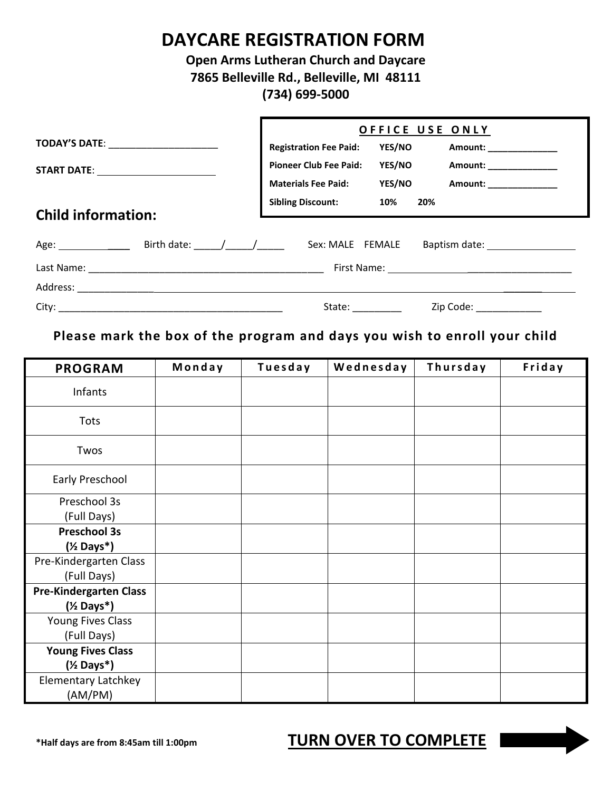## **DAYCARE REGISTRATION FORM**

## **Open Arms Lutheran Church and Daycare 7865 Belleville Rd., Belleville, MI 48111 (734) 699-5000**

|                                      |                               | OFFICE USE ONLY |           |                                                                                                                                                                                                                                |  |  |
|--------------------------------------|-------------------------------|-----------------|-----------|--------------------------------------------------------------------------------------------------------------------------------------------------------------------------------------------------------------------------------|--|--|
| TODAY'S DATE: _____________________  | <b>Registration Fee Paid:</b> | <b>YES/NO</b>   |           | Amount: _____________                                                                                                                                                                                                          |  |  |
| START DATE: ________________________ | <b>Pioneer Club Fee Paid:</b> | YES/NO          |           | Amount: ______________                                                                                                                                                                                                         |  |  |
|                                      | <b>Materials Fee Paid:</b>    | <b>YES/NO</b>   |           | Amount: _____________                                                                                                                                                                                                          |  |  |
|                                      | Sibling Discount: 10%         | 20%             |           |                                                                                                                                                                                                                                |  |  |
| <b>Child information:</b>            |                               |                 |           |                                                                                                                                                                                                                                |  |  |
| Age: Birth date: / /                 | Sex: MALE FEMALE              |                 |           | Baptism date: and the state of the state of the state of the state of the state of the state of the state of the state of the state of the state of the state of the state of the state of the state of the state of the state |  |  |
|                                      |                               |                 |           |                                                                                                                                                                                                                                |  |  |
|                                      |                               |                 |           |                                                                                                                                                                                                                                |  |  |
|                                      | State: $\_\_$                 |                 | Zip Code: |                                                                                                                                                                                                                                |  |  |

## **Please mark the box of the program and days you wish to enroll your child**

| <b>PROGRAM</b>                     | Monday | Tuesday | Wednesday | Thursday | Friday |
|------------------------------------|--------|---------|-----------|----------|--------|
| Infants                            |        |         |           |          |        |
| Tots                               |        |         |           |          |        |
| Twos                               |        |         |           |          |        |
| Early Preschool                    |        |         |           |          |        |
| Preschool 3s                       |        |         |           |          |        |
| (Full Days)                        |        |         |           |          |        |
| <b>Preschool 3s</b>                |        |         |           |          |        |
| $(\frac{1}{2}$ Days*)              |        |         |           |          |        |
| Pre-Kindergarten Class             |        |         |           |          |        |
| (Full Days)                        |        |         |           |          |        |
| <b>Pre-Kindergarten Class</b>      |        |         |           |          |        |
| $(\frac{1}{2}$ Days <sup>*</sup> ) |        |         |           |          |        |
| Young Fives Class                  |        |         |           |          |        |
| (Full Days)                        |        |         |           |          |        |
| <b>Young Fives Class</b>           |        |         |           |          |        |
| $(\frac{1}{2}$ Days <sup>*</sup> ) |        |         |           |          |        |
| <b>Elementary Latchkey</b>         |        |         |           |          |        |
| (AM/PM)                            |        |         |           |          |        |

**\*Half days are from 8:45am till 1:00pm TURN OVER TO COMPLETE**